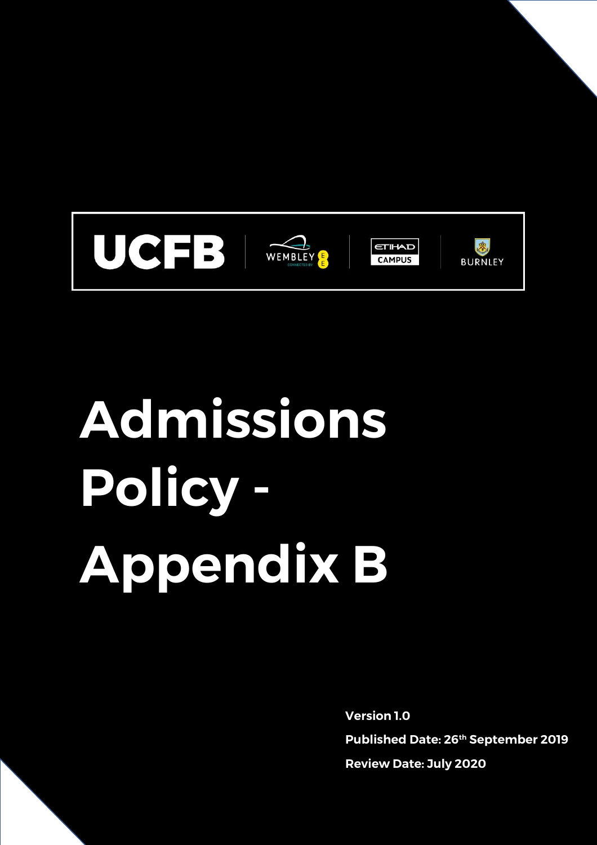

# **Admissions Policy - Appendix B**

**Version 1.0 Published Date: 26th September 2019 Review Date: July 2020**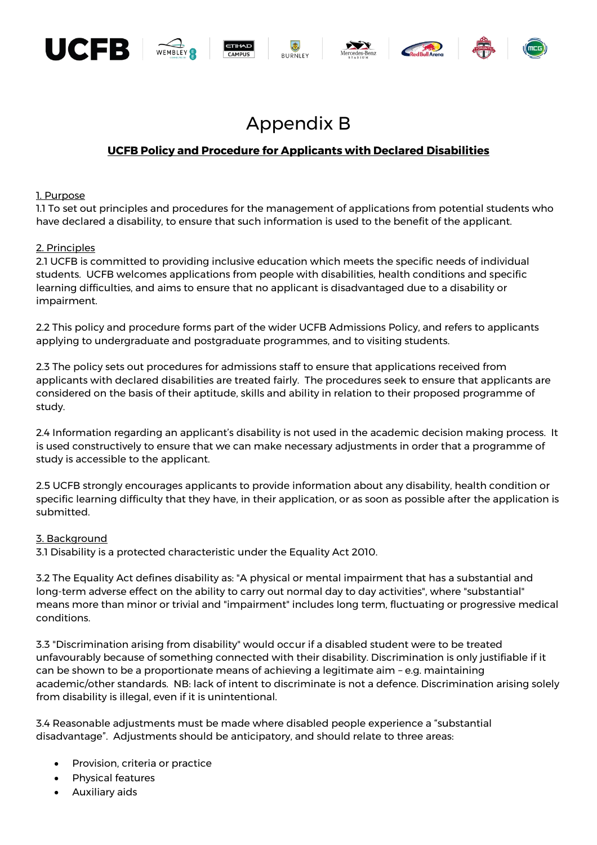



# **UCFB Policy and Procedure for Applicants with Declared Disabilities**

#### 1. Purpose

1.1 To set out principles and procedures for the management of applications from potential students who have declared a disability, to ensure that such information is used to the benefit of the applicant.

#### 2. Principles

2.1 UCFB is committed to providing inclusive education which meets the specific needs of individual students. UCFB welcomes applications from people with disabilities, health conditions and specific learning difficulties, and aims to ensure that no applicant is disadvantaged due to a disability or impairment.

2.2 This policy and procedure forms part of the wider UCFB Admissions Policy, and refers to applicants applying to undergraduate and postgraduate programmes, and to visiting students.

2.3 The policy sets out procedures for admissions staff to ensure that applications received from applicants with declared disabilities are treated fairly. The procedures seek to ensure that applicants are considered on the basis of their aptitude, skills and ability in relation to their proposed programme of study.

2.4 Information regarding an applicant's disability is not used in the academic decision making process. It is used constructively to ensure that we can make necessary adjustments in order that a programme of study is accessible to the applicant.

2.5 UCFB strongly encourages applicants to provide information about any disability, health condition or specific learning difficulty that they have, in their application, or as soon as possible after the application is submitted.

#### 3. Background

3.1 Disability is a protected characteristic under the Equality Act 2010.

3.2 The Equality Act defines disability as: "A physical or mental impairment that has a substantial and long-term adverse effect on the ability to carry out normal day to day activities", where "substantial" means more than minor or trivial and "impairment" includes long term, fluctuating or progressive medical conditions.

3.3 "Discrimination arising from disability" would occur if a disabled student were to be treated unfavourably because of something connected with their disability. Discrimination is only justifiable if it can be shown to be a proportionate means of achieving a legitimate aim – e.g. maintaining academic/other standards. NB: lack of intent to discriminate is not a defence. Discrimination arising solely from disability is illegal, even if it is unintentional.

3.4 Reasonable adjustments must be made where disabled people experience a "substantial disadvantage". Adjustments should be anticipatory, and should relate to three areas:

- Provision, criteria or practice
- Physical features
- Auxiliary aids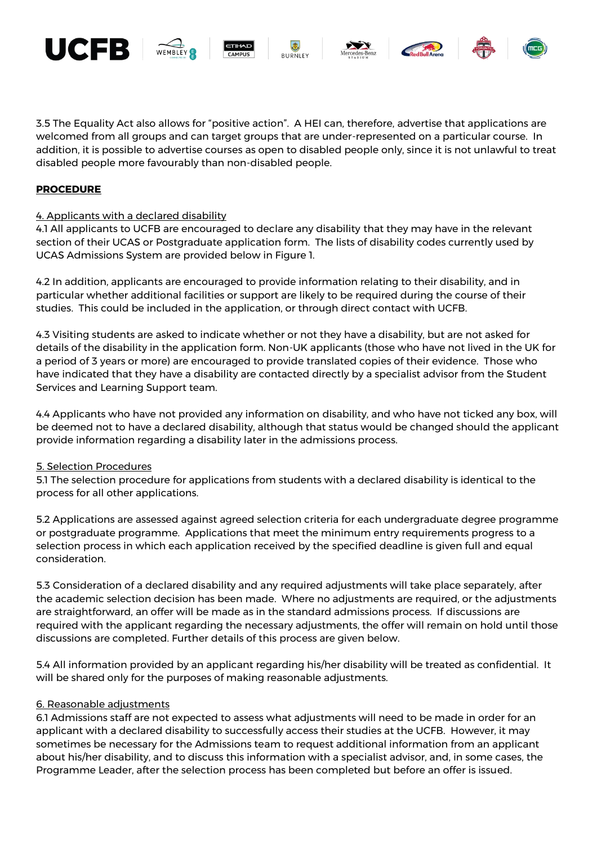











3.5 The Equality Act also allows for "positive action". A HEI can, therefore, advertise that applications are welcomed from all groups and can target groups that are under-represented on a particular course. In addition, it is possible to advertise courses as open to disabled people only, since it is not unlawful to treat disabled people more favourably than non-disabled people.

# **PROCEDURE**

## 4. Applicants with a declared disability

4.1 All applicants to UCFB are encouraged to declare any disability that they may have in the relevant section of their UCAS or Postgraduate application form. The lists of disability codes currently used by UCAS Admissions System are provided below in Figure 1.

4.2 In addition, applicants are encouraged to provide information relating to their disability, and in particular whether additional facilities or support are likely to be required during the course of their studies. This could be included in the application, or through direct contact with UCFB.

4.3 Visiting students are asked to indicate whether or not they have a disability, but are not asked for details of the disability in the application form. Non-UK applicants (those who have not lived in the UK for a period of 3 years or more) are encouraged to provide translated copies of their evidence. Those who have indicated that they have a disability are contacted directly by a specialist advisor from the Student Services and Learning Support team.

4.4 Applicants who have not provided any information on disability, and who have not ticked any box, will be deemed not to have a declared disability, although that status would be changed should the applicant provide information regarding a disability later in the admissions process.

#### 5. Selection Procedures

5.1 The selection procedure for applications from students with a declared disability is identical to the process for all other applications.

5.2 Applications are assessed against agreed selection criteria for each undergraduate degree programme or postgraduate programme. Applications that meet the minimum entry requirements progress to a selection process in which each application received by the specified deadline is given full and equal consideration.

5.3 Consideration of a declared disability and any required adjustments will take place separately, after the academic selection decision has been made. Where no adjustments are required, or the adjustments are straightforward, an offer will be made as in the standard admissions process. If discussions are required with the applicant regarding the necessary adjustments, the offer will remain on hold until those discussions are completed. Further details of this process are given below.

5.4 All information provided by an applicant regarding his/her disability will be treated as confidential. It will be shared only for the purposes of making reasonable adjustments.

## 6. Reasonable adjustments

6.1 Admissions staff are not expected to assess what adjustments will need to be made in order for an applicant with a declared disability to successfully access their studies at the UCFB. However, it may sometimes be necessary for the Admissions team to request additional information from an applicant about his/her disability, and to discuss this information with a specialist advisor, and, in some cases, the Programme Leader, after the selection process has been completed but before an offer is issued.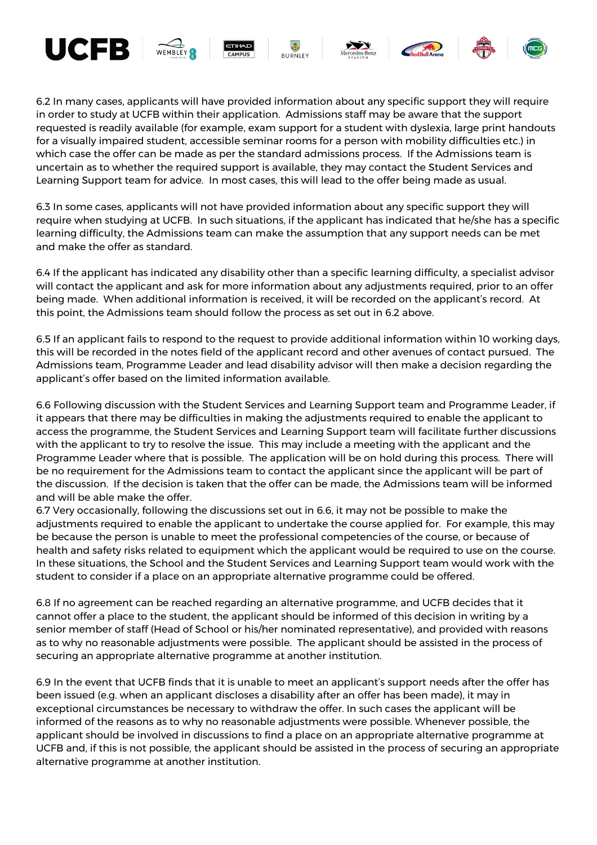

6.2 In many cases, applicants will have provided information about any specific support they will require in order to study at UCFB within their application. Admissions staff may be aware that the support requested is readily available (for example, exam support for a student with dyslexia, large print handouts for a visually impaired student, accessible seminar rooms for a person with mobility difficulties etc.) in which case the offer can be made as per the standard admissions process. If the Admissions team is uncertain as to whether the required support is available, they may contact the Student Services and Learning Support team for advice. In most cases, this will lead to the offer being made as usual.

6.3 In some cases, applicants will not have provided information about any specific support they will require when studying at UCFB. In such situations, if the applicant has indicated that he/she has a specific learning difficulty, the Admissions team can make the assumption that any support needs can be met and make the offer as standard.

6.4 If the applicant has indicated any disability other than a specific learning difficulty, a specialist advisor will contact the applicant and ask for more information about any adjustments required, prior to an offer being made. When additional information is received, it will be recorded on the applicant's record. At this point, the Admissions team should follow the process as set out in 6.2 above.

6.5 If an applicant fails to respond to the request to provide additional information within 10 working days, this will be recorded in the notes field of the applicant record and other avenues of contact pursued. The Admissions team, Programme Leader and lead disability advisor will then make a decision regarding the applicant's offer based on the limited information available.

6.6 Following discussion with the Student Services and Learning Support team and Programme Leader, if it appears that there may be difficulties in making the adjustments required to enable the applicant to access the programme, the Student Services and Learning Support team will facilitate further discussions with the applicant to try to resolve the issue. This may include a meeting with the applicant and the Programme Leader where that is possible. The application will be on hold during this process. There will be no requirement for the Admissions team to contact the applicant since the applicant will be part of the discussion. If the decision is taken that the offer can be made, the Admissions team will be informed and will be able make the offer.

6.7 Very occasionally, following the discussions set out in 6.6, it may not be possible to make the adjustments required to enable the applicant to undertake the course applied for. For example, this may be because the person is unable to meet the professional competencies of the course, or because of health and safety risks related to equipment which the applicant would be required to use on the course. In these situations, the School and the Student Services and Learning Support team would work with the student to consider if a place on an appropriate alternative programme could be offered.

6.8 If no agreement can be reached regarding an alternative programme, and UCFB decides that it cannot offer a place to the student, the applicant should be informed of this decision in writing by a senior member of staff (Head of School or his/her nominated representative), and provided with reasons as to why no reasonable adjustments were possible. The applicant should be assisted in the process of securing an appropriate alternative programme at another institution.

6.9 In the event that UCFB finds that it is unable to meet an applicant's support needs after the offer has been issued (e.g. when an applicant discloses a disability after an offer has been made), it may in exceptional circumstances be necessary to withdraw the offer. In such cases the applicant will be informed of the reasons as to why no reasonable adjustments were possible. Whenever possible, the applicant should be involved in discussions to find a place on an appropriate alternative programme at UCFB and, if this is not possible, the applicant should be assisted in the process of securing an appropriate alternative programme at another institution.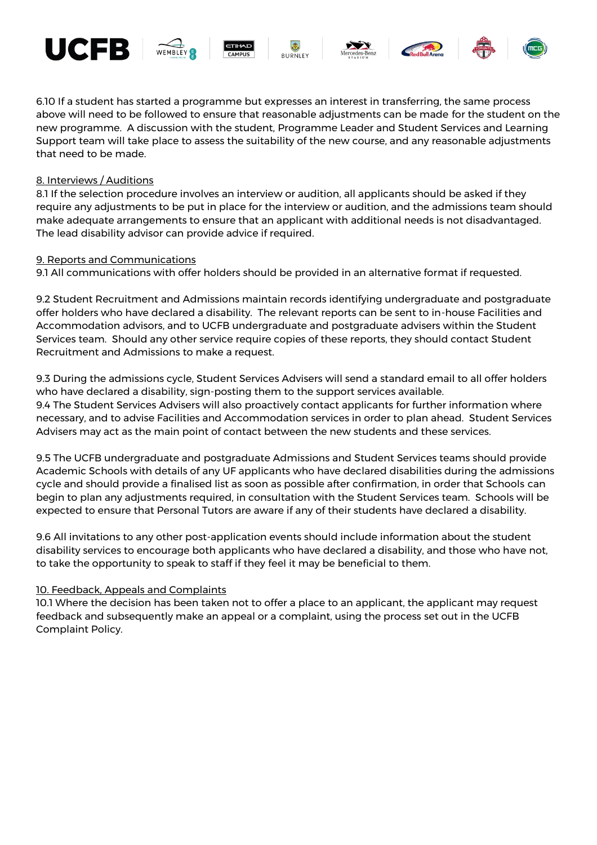











6.10 If a student has started a programme but expresses an interest in transferring, the same process above will need to be followed to ensure that reasonable adjustments can be made for the student on the new programme. A discussion with the student, Programme Leader and Student Services and Learning Support team will take place to assess the suitability of the new course, and any reasonable adjustments that need to be made.

### 8. Interviews / Auditions

8.1 If the selection procedure involves an interview or audition, all applicants should be asked if they require any adjustments to be put in place for the interview or audition, and the admissions team should make adequate arrangements to ensure that an applicant with additional needs is not disadvantaged. The lead disability advisor can provide advice if required.

#### 9. Reports and Communications

9.1 All communications with offer holders should be provided in an alternative format if requested.

9.2 Student Recruitment and Admissions maintain records identifying undergraduate and postgraduate offer holders who have declared a disability. The relevant reports can be sent to in-house Facilities and Accommodation advisors, and to UCFB undergraduate and postgraduate advisers within the Student Services team. Should any other service require copies of these reports, they should contact Student Recruitment and Admissions to make a request.

9.3 During the admissions cycle, Student Services Advisers will send a standard email to all offer holders who have declared a disability, sign-posting them to the support services available. 9.4 The Student Services Advisers will also proactively contact applicants for further information where necessary, and to advise Facilities and Accommodation services in order to plan ahead. Student Services Advisers may act as the main point of contact between the new students and these services.

9.5 The UCFB undergraduate and postgraduate Admissions and Student Services teams should provide Academic Schools with details of any UF applicants who have declared disabilities during the admissions cycle and should provide a finalised list as soon as possible after confirmation, in order that Schools can begin to plan any adjustments required, in consultation with the Student Services team. Schools will be expected to ensure that Personal Tutors are aware if any of their students have declared a disability.

9.6 All invitations to any other post-application events should include information about the student disability services to encourage both applicants who have declared a disability, and those who have not, to take the opportunity to speak to staff if they feel it may be beneficial to them.

#### 10. Feedback, Appeals and Complaints

10.1 Where the decision has been taken not to offer a place to an applicant, the applicant may request feedback and subsequently make an appeal or a complaint, using the process set out in the UCFB Complaint Policy.